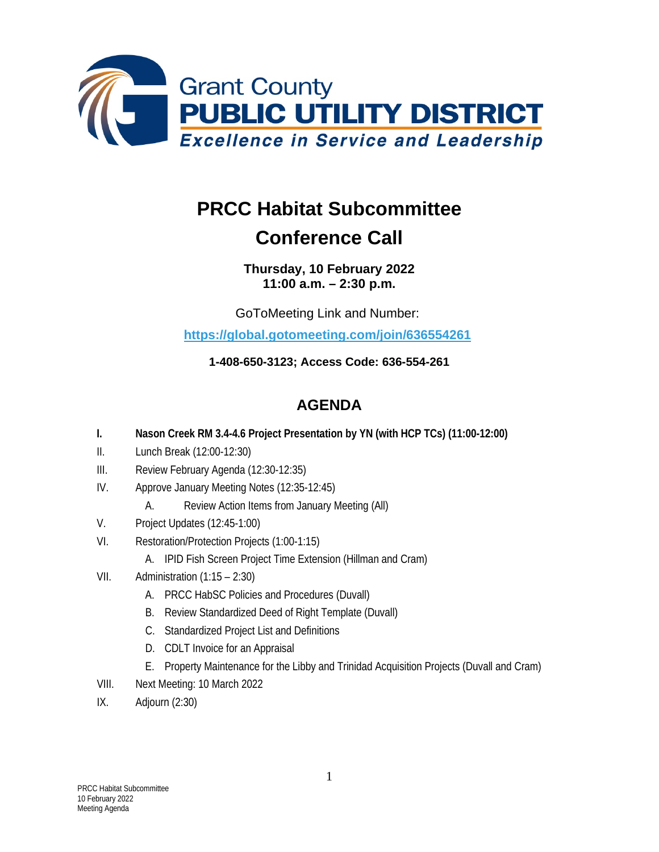

## **PRCC Habitat Subcommittee Conference Call**

## **Thursday, 10 February 2022 11:00 a.m. – 2:30 p.m.**

GoToMeeting Link and Number:

**<https://global.gotomeeting.com/join/636554261>**

**1-408-650-3123; Access Code: 636-554-261**

## **AGENDA**

- **I. Nason Creek RM 3.4-4.6 Project Presentation by YN (with HCP TCs) (11:00-12:00)**
- II. Lunch Break (12:00-12:30)
- III. Review February Agenda (12:30-12:35)
- IV. Approve January Meeting Notes (12:35-12:45)
	- A. Review Action Items from January Meeting (All)
- V. Project Updates (12:45-1:00)
- VI. Restoration/Protection Projects (1:00-1:15)
	- A. IPID Fish Screen Project Time Extension (Hillman and Cram)
- VII. Administration (1:15 2:30)
	- A. PRCC HabSC Policies and Procedures (Duvall)
	- B. Review Standardized Deed of Right Template (Duvall)
	- C. Standardized Project List and Definitions
	- D. CDLT Invoice for an Appraisal
	- E. Property Maintenance for the Libby and Trinidad Acquisition Projects (Duvall and Cram)
- VIII. Next Meeting: 10 March 2022
- IX. Adjourn (2:30)